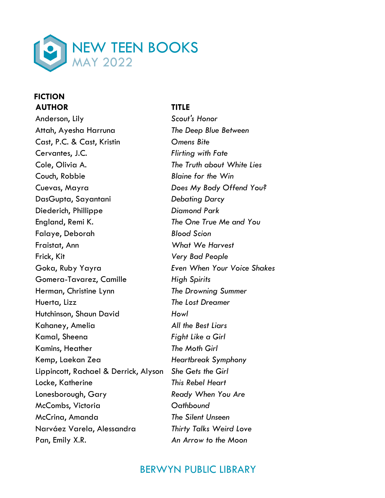

### **FICTION AUTHOR TITLE**

Anderson, Lily *Scout's Honor* Attah, Ayesha Harruna *The Deep Blue Between* Cast, P.C. & Cast, Kristin *Omens Bite* Cervantes, J.C. *Flirting with Fate* Cole, Olivia A. *The Truth about White Lies* Couch, Robbie *Blaine for the Win* Cuevas, Mayra *Does My Body Offend You?* DasGupta, Sayantani *Debating Darcy* Diederich, Phillippe *Diamond Park* England, Remi K. *The One True Me and You* Falaye, Deborah *Blood Scion* Fraistat, Ann *What We Harvest* Frick, Kit *Very Bad People* Goka, Ruby Yayra *Even When Your Voice Shakes* Gomera-Tavarez, Camille *High Spirits* Herman, Christine Lynn *The Drowning Summer* Huerta, Lizz *The Lost Dreamer* Hutchinson, Shaun David *Howl* Kahaney, Amelia *All the Best Liars* Kamal, Sheena *Fight Like a Girl* Kamins, Heather *The Moth Girl* Kemp, Laekan Zea *Heartbreak Symphony* Lippincott, Rachael & Derrick, Alyson *She Gets the Girl* Locke, Katherine *This Rebel Heart* Lonesborough, Gary *Ready When You Are* McCombs, Victoria *Oathbound* McCrina, Amanda *The Silent Unseen* Narváez Varela, Alessandra *Thirty Talks Weird Love* Pan, Emily X.R. *An Arrow to the Moon*

# BERWYN PUBLIC LIBRARY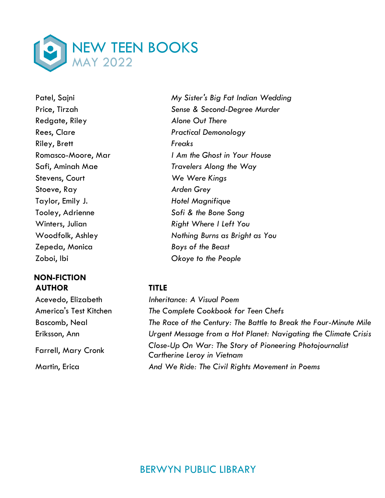

Redgate, Riley *Alone Out There* Riley, Brett *Freaks* Stevens, Court *We Were Kings* Stoeve, Ray *Arden Grey* Taylor, Emily J. *Hotel Magnifique* Tooley, Adrienne *Sofi & the Bone Song* Zepeda, Monica *Boys of the Beast* Zoboi, Ibi *Okoye to the People*

### **NON-FICTION AUTHOR TITLE**

Patel, Sajni *My Sister's Big Fat Indian Wedding* Price, Tirzah *Sense & Second-Degree Murder* Rees, Clare *Practical Demonology* Romasco-Moore, Mar *I Am the Ghost in Your House* Safi, Aminah Mae *Travelers Along the Way* Winters, Julian *Right Where I Left You* Woodfolk, Ashley *Nothing Burns as Bright as You*

Acevedo, Elizabeth *Inheritance: A Visual Poem* America's Test Kitchen *The Complete Cookbook for Teen Chefs* Bascomb, Neal *The Race of the Century: The Battle to Break the Four-Minute Mile* Eriksson, Ann *Urgent Message from a Hot Planet: Navigating the Climate Crisis* Farrell, Mary Cronk *Close-Up On War: The Story of Pioneering Photojournalist Cartherine Leroy in Vietnam* Martin, Erica *And We Ride: The Civil Rights Movement in Poems*